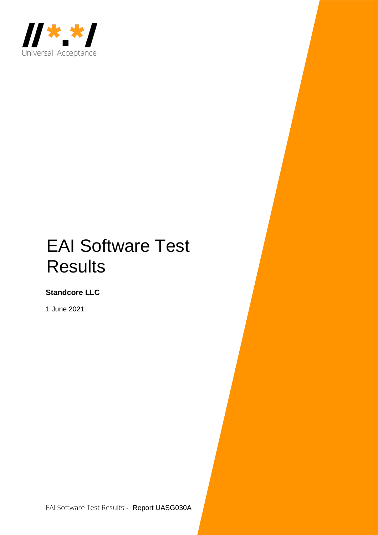

## EAI Software Test **Results**

**Standcore LLC**

1 June 2021

EAI Software Test Results - Report UASG030A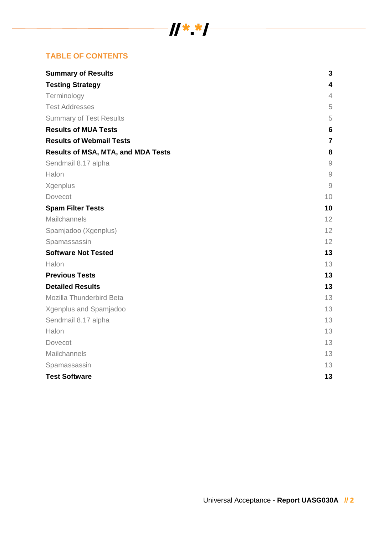# $\frac{1}{2}$   $\frac{1}{2}$   $\frac{1}{2}$   $\frac{1}{2}$   $\frac{1}{2}$   $\frac{1}{2}$   $\frac{1}{2}$   $\frac{1}{2}$   $\frac{1}{2}$   $\frac{1}{2}$   $\frac{1}{2}$   $\frac{1}{2}$   $\frac{1}{2}$   $\frac{1}{2}$   $\frac{1}{2}$   $\frac{1}{2}$   $\frac{1}{2}$   $\frac{1}{2}$   $\frac{1}{2}$   $\frac{1}{2}$   $\frac{1}{2}$   $\frac{1}{2}$

## **TABLE OF CONTENTS**

| <b>Summary of Results</b>                 | 3                       |
|-------------------------------------------|-------------------------|
| <b>Testing Strategy</b>                   | 4                       |
| Terminology                               | $\overline{4}$          |
| <b>Test Addresses</b>                     | 5                       |
| <b>Summary of Test Results</b>            | 5                       |
| <b>Results of MUA Tests</b>               | 6                       |
| <b>Results of Webmail Tests</b>           | $\overline{\mathbf{r}}$ |
| <b>Results of MSA, MTA, and MDA Tests</b> | 8                       |
| Sendmail 8.17 alpha                       | $\hbox{9}$              |
| Halon                                     | $\overline{9}$          |
| Xgenplus                                  | $\overline{9}$          |
| Dovecot                                   | 10                      |
| <b>Spam Filter Tests</b>                  | 10                      |
| Mailchannels                              | 12                      |
| Spamjadoo (Xgenplus)                      | 12                      |
| Spamassassin                              | 12                      |
| <b>Software Not Tested</b>                | 13                      |
| Halon                                     | 13                      |
| <b>Previous Tests</b>                     | 13                      |
| <b>Detailed Results</b>                   | 13                      |
| Mozilla Thunderbird Beta                  | 13                      |
| Xgenplus and Spamjadoo                    | 13                      |
| Sendmail 8.17 alpha                       | 13                      |
| Halon                                     | 13                      |
| Dovecot                                   | 13                      |
| Mailchannels                              | 13                      |
| Spamassassin                              | 13                      |
| <b>Test Software</b>                      | 13                      |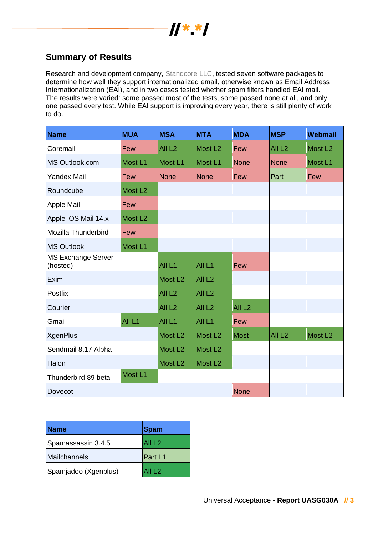

## **Summary of Results**

Research and development company, [Standcore](https://standcore.com/) LLC, tested seven software packages to determine how well they support internationalized email, otherwise known as Email Address Internationalization (EAI), and in two cases tested whether spam filters handled EAI mail. The results were varied: some passed most of the tests, some passed none at all, and only one passed every test. While EAI support is improving every year, there is still plenty of work to do.

| <b>Name</b>                           | <b>MUA</b>          | <b>MSA</b>          | <b>MTA</b>          | <b>MDA</b>        | <b>MSP</b>        | <b>Webmail</b>      |
|---------------------------------------|---------------------|---------------------|---------------------|-------------------|-------------------|---------------------|
| Coremail                              | Few                 | All <sub>L2</sub>   | Most L <sub>2</sub> | Few               | All <sub>L2</sub> | Most L <sub>2</sub> |
| MS Outlook.com                        | Most L1             | Most L1             | Most L1             | None              | <b>None</b>       | Most L1             |
| <b>Yandex Mail</b>                    | Few                 | <b>None</b>         | <b>None</b>         | Few               | Part              | Few                 |
| Roundcube                             | Most L <sub>2</sub> |                     |                     |                   |                   |                     |
| <b>Apple Mail</b>                     | Few                 |                     |                     |                   |                   |                     |
| Apple iOS Mail 14.x                   | Most L <sub>2</sub> |                     |                     |                   |                   |                     |
| Mozilla Thunderbird                   | Few                 |                     |                     |                   |                   |                     |
| <b>MS Outlook</b>                     | Most L1             |                     |                     |                   |                   |                     |
| <b>MS Exchange Server</b><br>(hosted) |                     | All L1              | All L1              | Few               |                   |                     |
| Exim                                  |                     | Most L <sub>2</sub> | All <sub>L2</sub>   |                   |                   |                     |
| Postfix                               |                     | All <sub>L2</sub>   | All <sub>L2</sub>   |                   |                   |                     |
| Courier                               |                     | All <sub>L2</sub>   | All <sub>L2</sub>   | All <sub>L2</sub> |                   |                     |
| Gmail                                 | All <sub>L1</sub>   | All <sub>L1</sub>   | All <sub>L1</sub>   | Few               |                   |                     |
| <b>XgenPlus</b>                       |                     | Most L <sub>2</sub> | Most L <sub>2</sub> | Most              | All <sub>L2</sub> | Most L <sub>2</sub> |
| Sendmail 8.17 Alpha                   |                     | Most L <sub>2</sub> | Most L <sub>2</sub> |                   |                   |                     |
| Halon                                 |                     | Most L <sub>2</sub> | Most L <sub>2</sub> |                   |                   |                     |
| Thunderbird 89 beta                   | Most L1             |                     |                     |                   |                   |                     |
| Dovecot                               |                     |                     |                     | None              |                   |                     |

| <b>Name</b>          | Spam              |
|----------------------|-------------------|
| Spamassassin 3.4.5   | All <sub>L2</sub> |
| Mailchannels         | <b>Part L1</b>    |
| Spamjadoo (Xgenplus) | All $L2$          |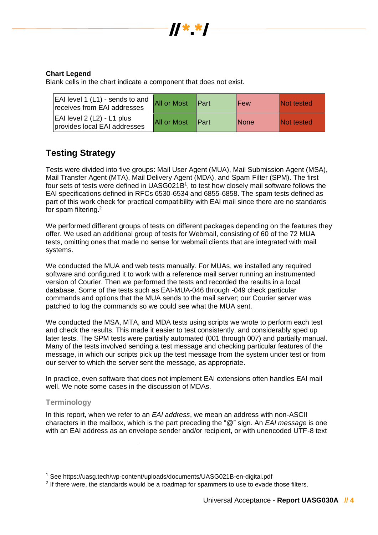

#### **Chart Legend**

Blank cells in the chart indicate a component that does not exist.

| EAI level 1 (L1) - sends to and<br>receives from EAI addresses  | <b>All or Most</b> | <b>IPart</b> | Few         | <b>Not tested</b> |
|-----------------------------------------------------------------|--------------------|--------------|-------------|-------------------|
| $ EA $ level 2 $(L2)$ - L1 plus<br>provides local EAI addresses | <b>All or Most</b> | <b>IPart</b> | <b>None</b> | <b>Not tested</b> |

## **Testing Strategy**

Tests were divided into five groups: Mail User Agent (MUA), Mail Submission Agent (MSA), Mail Transfer Agent (MTA), Mail Delivery Agent (MDA), and Spam Filter (SPM). The first four sets of tests were defined in UASG021B<sup>1</sup>, to test how closely mail software follows the EAI specifications defined in RFCs 6530-6534 and 6855-6858. The spam tests defined as part of this work check for practical compatibility with EAI mail since there are no standards for spam filtering.<sup>2</sup>

We performed different groups of tests on different packages depending on the features they offer. We used an additional group of tests for Webmail, consisting of 60 of the 72 MUA tests, omitting ones that made no sense for webmail clients that are integrated with mail systems.

We conducted the MUA and web tests manually. For MUAs, we installed any required software and configured it to work with a reference mail server running an instrumented version of Courier. Then we performed the tests and recorded the results in a local database. Some of the tests such as EAI-MUA-046 through -049 check particular commands and options that the MUA sends to the mail server; our Courier server was patched to log the commands so we could see what the MUA sent.

We conducted the MSA, MTA, and MDA tests using scripts we wrote to perform each test and check the results. This made it easier to test consistently, and considerably sped up later tests. The SPM tests were partially automated (001 through 007) and partially manual. Many of the tests involved sending a test message and checking particular features of the message, in which our scripts pick up the test message from the system under test or from our server to which the server sent the message, as appropriate.

In practice, even software that does not implement EAI extensions often handles EAI mail well. We note some cases in the discussion of MDAs.

#### **Terminology**

In this report, when we refer to an *EAI address*, we mean an address with non-ASCII characters in the mailbox, which is the part preceding the "@" sign. An *EAI message* is one with an EAI address as an envelope sender and/or recipient, or with unencoded UTF-8 text

<sup>1</sup> See https://uasg.tech/wp-content/uploads/documents/UASG021B-en-digital.pdf

 $2$  If there were, the standards would be a roadmap for spammers to use to evade those filters.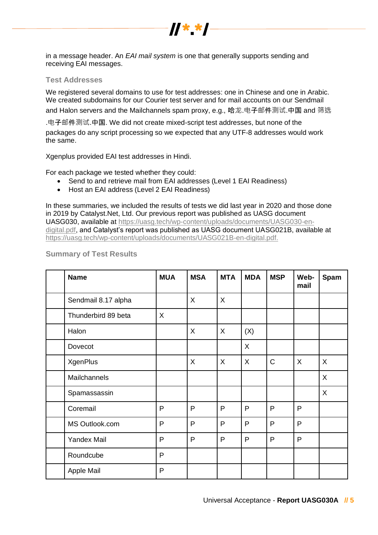

in a message header. An *EAI mail system* is one that generally supports sending and receiving EAI messages.

#### **Test Addresses**

We registered several domains to use for test addresses: one in Chinese and one in Arabic. We created subdomains for our Courier test server and for mail accounts on our Sendmail

and Halon servers and the Mailchannels spam proxy, e.g., 哈龙.电子邮件测试.中国 and 筛选

.电子邮件测试.中国. We did not create mixed-script test addresses, but none of the packages do any script processing so we expected that any UTF-8 addresses would work the same.

Xgenplus provided EAI test addresses in Hindi.

For each package we tested whether they could:

- Send to and retrieve mail from EAI addresses (Level 1 EAI Readiness)
- Host an EAI address (Level 2 EAI Readiness)

In these summaries, we included the results of tests we did last year in 2020 and those done in 2019 by Catalyst.Net, Ltd. Our previous report was published as UASG document UASG030, available at [https://uasg.tech/wp-content/uploads/documents/UASG030-en](https://uasg.tech/wp-content/uploads/documents/UASG030-en-digital.pdf)[digital.pdf,](https://uasg.tech/wp-content/uploads/documents/UASG030-en-digital.pdf) and Catalyst's report was published as UASG document UASG021B, available at [https://uasg.tech/wp-content/uploads/documents/UASG021B-en-digital.pdf.](https://uasg.tech/wp-content/uploads/documents/UASG021B-en-digital.pdf)

| <b>Name</b>         | <b>MUA</b>   | <b>MSA</b> | <b>MTA</b>   | <b>MDA</b>   | <b>MSP</b>   | Web-<br>mail | Spam    |
|---------------------|--------------|------------|--------------|--------------|--------------|--------------|---------|
| Sendmail 8.17 alpha |              | X          | $\mathsf{X}$ |              |              |              |         |
| Thunderbird 89 beta | X            |            |              |              |              |              |         |
| Halon               |              | X          | X            | (X)          |              |              |         |
| Dovecot             |              |            |              | X            |              |              |         |
| <b>XgenPlus</b>     |              | X          | $\mathsf{X}$ | X            | $\mathsf{C}$ | X            | X       |
| Mailchannels        |              |            |              |              |              |              | X       |
| Spamassassin        |              |            |              |              |              |              | $\sf X$ |
| Coremail            | P            | P          | P            | P            | $\mathsf{P}$ | $\mathsf{P}$ |         |
| MS Outlook.com      | $\mathsf{P}$ | P          | P            | $\mathsf{P}$ | P            | P            |         |
| <b>Yandex Mail</b>  | P            | P          | P            | P            | $\mathsf{P}$ | P            |         |
| Roundcube           | $\mathsf{P}$ |            |              |              |              |              |         |
| Apple Mail          | P            |            |              |              |              |              |         |

#### **Summary of Test Results**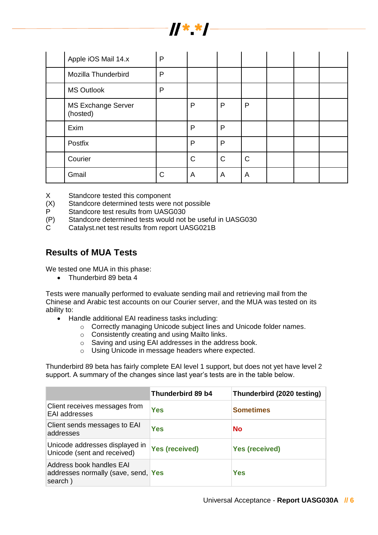

| Apple iOS Mail 14.x                   | P |             |             |              |  |  |
|---------------------------------------|---|-------------|-------------|--------------|--|--|
| Mozilla Thunderbird                   | P |             |             |              |  |  |
| <b>MS Outlook</b>                     | P |             |             |              |  |  |
| <b>MS Exchange Server</b><br>(hosted) |   | P           | P           | P            |  |  |
| Exim                                  |   | P           | P           |              |  |  |
| Postfix                               |   | P           | P           |              |  |  |
| Courier                               |   | $\mathsf C$ | $\mathsf C$ | $\mathsf{C}$ |  |  |
| Gmail                                 | C | A           | A           | A            |  |  |

X Standcore tested this component

(X) Standcore determined tests were not possible

- P Standcore test results from UASG030
- (P) Standcore determined tests would not be useful in UASG030
- C Catalyst.net test results from report UASG021B

## **Results of MUA Tests**

We tested one MUA in this phase:

• Thunderbird 89 beta 4

Tests were manually performed to evaluate sending mail and retrieving mail from the Chinese and Arabic test accounts on our Courier server, and the MUA was tested on its ability to:

- Handle additional EAI readiness tasks including:
	- o Correctly managing Unicode subject lines and Unicode folder names.
	- o Consistently creating and using Mailto links.
	- o Saving and using EAI addresses in the address book.
	- o Using Unicode in message headers where expected.

Thunderbird 89 beta has fairly complete EAI level 1 support, but does not yet have level 2 support. A summary of the changes since last year's tests are in the table below.

|                                                                            | Thunderbird 89 b4     | Thunderbird (2020 testing) |
|----------------------------------------------------------------------------|-----------------------|----------------------------|
| Client receives messages from<br><b>EAI</b> addresses                      | Yes                   | <b>Sometimes</b>           |
| Client sends messages to EAI<br>addresses                                  | Yes                   | No                         |
| Unicode addresses displayed in<br>Unicode (sent and received)              | <b>Yes (received)</b> | <b>Yes (received)</b>      |
| Address book handles EAI<br>addresses normally (save, send, Yes<br>search) |                       | <b>Yes</b>                 |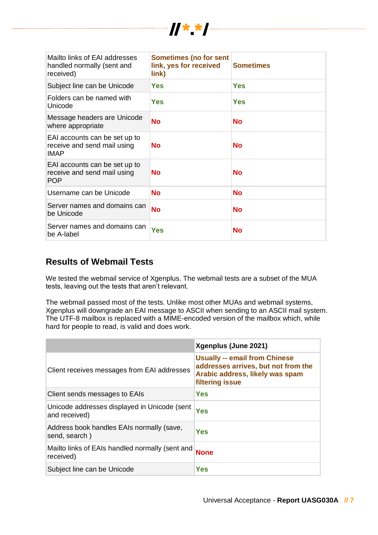| Mailto links of EAI addresses<br>handled normally (sent and<br>received)    | <b>Sometimes (no for sent</b><br>link, yes for received<br>link) | <b>Sometimes</b> |
|-----------------------------------------------------------------------------|------------------------------------------------------------------|------------------|
| Subject line can be Unicode                                                 | <b>Yes</b>                                                       | Yes              |
| Folders can be named with<br>Unicode                                        | Yes                                                              | Yes              |
| Message headers are Unicode<br>where appropriate                            | <b>No</b>                                                        | No               |
| EAI accounts can be set up to<br>receive and send mail using<br><b>IMAP</b> | <b>No</b>                                                        | Nο               |
| EAI accounts can be set up to<br>receive and send mail using<br><b>POP</b>  | <b>No</b>                                                        | <b>No</b>        |
| Username can be Unicode                                                     | <b>No</b>                                                        | <b>No</b>        |
| Server names and domains can<br>be Unicode                                  | <b>No</b>                                                        | No               |
| Server names and domains can<br>be A-label                                  | Yes                                                              | No               |

 $||**||$ 

## **Results of Webmail Tests**

We tested the webmail service of Xgenplus. The webmail tests are a subset of the MUA tests, leaving out the tests that aren't relevant.

The webmail passed most of the tests. Unlike most other MUAs and webmail systems, Xgenplus will downgrade an EAI message to ASCII when sending to an ASCII mail system. The UTF-8 mailbox is replaced with a MIME-encoded version of the mailbox which, while hard for people to read, is valid and does work.

|                                                               | Xgenplus (June 2021)                                                                                                                     |
|---------------------------------------------------------------|------------------------------------------------------------------------------------------------------------------------------------------|
| Client receives messages from EAI addresses                   | <b>Usually -- email from Chinese</b><br>addresses arrives, but not from the<br>Arabic address, likely was spam<br><b>filtering issue</b> |
| Client sends messages to EAIs                                 | Yes                                                                                                                                      |
| Unicode addresses displayed in Unicode (sent<br>and received) | <b>Yes</b>                                                                                                                               |
| Address book handles EAIs normally (save,<br>send, search)    | Yes                                                                                                                                      |
| Mailto links of EAIs handled normally (sent and<br>received)  | <b>None</b>                                                                                                                              |
| Subject line can be Unicode                                   | Yes                                                                                                                                      |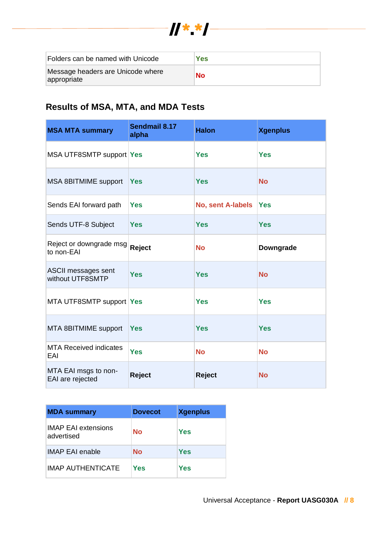

| Folders can be named with Unicode                | Yes |
|--------------------------------------------------|-----|
| Message headers are Unicode where<br>appropriate | No  |

## **Results of MSA, MTA, and MDA Tests**

| <b>MSA MTA summary</b>                         | Sendmail 8.17<br>alpha | <b>Halon</b>             | <b>Xgenplus</b> |
|------------------------------------------------|------------------------|--------------------------|-----------------|
| MSA UTF8SMTP support Yes                       |                        | <b>Yes</b>               | <b>Yes</b>      |
| MSA 8BITMIME support                           | <b>Yes</b>             | <b>Yes</b>               | <b>No</b>       |
| Sends EAI forward path                         | <b>Yes</b>             | <b>No, sent A-labels</b> | Yes             |
| Sends UTF-8 Subject                            | <b>Yes</b>             | <b>Yes</b>               | <b>Yes</b>      |
| Reject or downgrade msg<br>to non-EAI          | Reject                 | <b>No</b>                | Downgrade       |
| <b>ASCII messages sent</b><br>without UTF8SMTP | <b>Yes</b>             | <b>Yes</b>               | <b>No</b>       |
| MTA UTF8SMTP support Yes                       |                        | <b>Yes</b>               | <b>Yes</b>      |
| MTA 8BITMIME support                           | <b>Yes</b>             | <b>Yes</b>               | <b>Yes</b>      |
| <b>MTA Received indicates</b><br>EAI           | <b>Yes</b>             | <b>No</b>                | <b>No</b>       |
| MTA EAI msgs to non-<br>EAI are rejected       | Reject                 | <b>Reject</b>            | <b>No</b>       |

| <b>MDA summary</b>                       | <b>Dovecot</b> | <b>Xgenplus</b> |
|------------------------------------------|----------------|-----------------|
| <b>IMAP EAI extensions</b><br>advertised | <b>No</b>      | Yes             |
| <b>IMAP EAI enable</b>                   | <b>No</b>      | Yes             |
| <b>IMAP AUTHENTICATE</b>                 | Yes            | Yes             |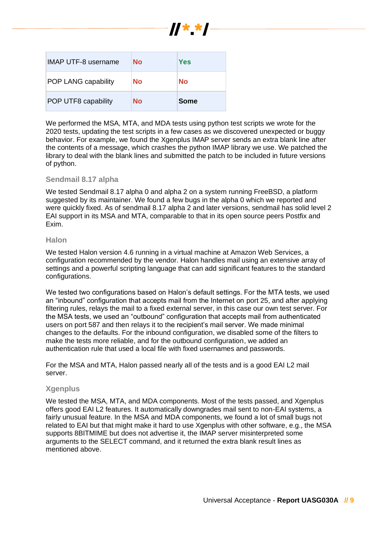

| <b>IMAP UTF-8 username</b> | No | Yes         |
|----------------------------|----|-------------|
| <b>POP LANG capability</b> | No | No          |
| POP UTF8 capability        | No | <b>Some</b> |

We performed the MSA, MTA, and MDA tests using python test scripts we wrote for the 2020 tests, updating the test scripts in a few cases as we discovered unexpected or buggy behavior. For example, we found the Xgenplus IMAP server sends an extra blank line after the contents of a message, which crashes the python IMAP library we use. We patched the library to deal with the blank lines and submitted the patch to be included in future versions of python.

#### **Sendmail 8.17 alpha**

We tested Sendmail 8.17 alpha 0 and alpha 2 on a system running FreeBSD, a platform suggested by its maintainer. We found a few bugs in the alpha 0 which we reported and were quickly fixed. As of sendmail 8.17 alpha 2 and later versions, sendmail has solid level 2 EAI support in its MSA and MTA, comparable to that in its open source peers Postfix and Exim.

#### **Halon**

We tested Halon version 4.6 running in a virtual machine at Amazon Web Services, a configuration recommended by the vendor. Halon handles mail using an extensive array of settings and a powerful scripting language that can add significant features to the standard configurations.

We tested two configurations based on Halon's default settings. For the MTA tests, we used an "inbound" configuration that accepts mail from the Internet on port 25, and after applying filtering rules, relays the mail to a fixed external server, in this case our own test server. For the MSA tests, we used an "outbound" configuration that accepts mail from authenticated users on port 587 and then relays it to the recipient's mail server. We made minimal changes to the defaults. For the inbound configuration, we disabled some of the filters to make the tests more reliable, and for the outbound configuration, we added an authentication rule that used a local file with fixed usernames and passwords.

For the MSA and MTA, Halon passed nearly all of the tests and is a good EAI L2 mail server.

#### **Xgenplus**

We tested the MSA, MTA, and MDA components. Most of the tests passed, and Xgenplus offers good EAI L2 features. It automatically downgrades mail sent to non-EAI systems, a fairly unusual feature. In the MSA and MDA components, we found a lot of small bugs not related to EAI but that might make it hard to use Xgenplus with other software, e.g., the MSA supports 8BITMIME but does not advertise it, the IMAP server misinterpreted some arguments to the SELECT command, and it returned the extra blank result lines as mentioned above.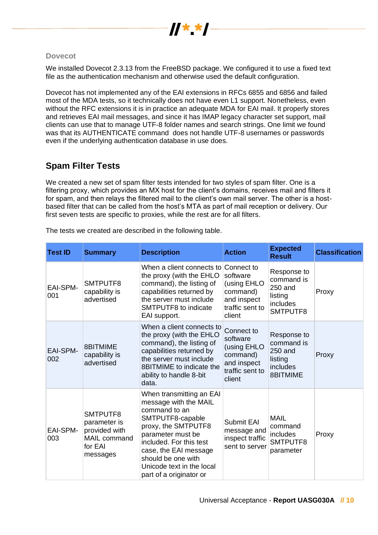

#### **Dovecot**

We installed Dovecot 2.3.13 from the FreeBSD package. We configured it to use a fixed text file as the authentication mechanism and otherwise used the default configuration.

Dovecot has not implemented any of the EAI extensions in RFCs 6855 and 6856 and failed most of the MDA tests, so it technically does not have even L1 support. Nonetheless, even without the RFC extensions it is in practice an adequate MDA for EAI mail. It properly stores and retrieves EAI mail messages, and since it has IMAP legacy character set support, mail clients can use that to manage UTF-8 folder names and search strings. One limit we found was that its AUTHENTICATE command does not handle UTF-8 usernames or passwords even if the underlying authentication database in use does.

## **Spam Filter Tests**

We created a new set of spam filter tests intended for two styles of spam filter. One is a filtering proxy, which provides an MX host for the client's domains, receives mail and filters it for spam, and then relays the filtered mail to the client's own mail server. The other is a hostbased filter that can be called from the host's MTA as part of mail reception or delivery. Our first seven tests are specific to proxies, while the rest are for all filters.

| <b>Test ID</b>         | <b>Summary</b>                                                                   | <b>Description</b>                                                                                                                                                                                                                                                   | <b>Action</b>                                                                                 | <b>Expected</b><br><b>Result</b>                                        | <b>Classification</b> |
|------------------------|----------------------------------------------------------------------------------|----------------------------------------------------------------------------------------------------------------------------------------------------------------------------------------------------------------------------------------------------------------------|-----------------------------------------------------------------------------------------------|-------------------------------------------------------------------------|-----------------------|
| <b>EAI-SPM-</b><br>001 | SMTPUTF8<br>capability is<br>advertised                                          | When a client connects to Connect to<br>the proxy (with the EHLO<br>command), the listing of<br>capabilities returned by<br>the server must include<br>SMTPUTF8 to indicate<br>EAI support.                                                                          | software<br>(using EHLO<br>command)<br>and inspect<br>traffic sent to<br>client               | Response to<br>command is<br>250 and<br>listing<br>includes<br>SMTPUTF8 | Proxy                 |
| <b>EAI-SPM-</b><br>002 | 8BITMIME<br>capability is<br>advertised                                          | When a client connects to<br>the proxy (with the EHLO<br>command), the listing of<br>capabilities returned by<br>the server must include<br>8BITMIME to indicate the<br>ability to handle 8-bit<br>data.                                                             | Connect to<br>software<br>(using EHLO<br>command)<br>and inspect<br>traffic sent to<br>client | Response to<br>command is<br>250 and<br>listing<br>includes<br>8BITMIME | Proxy                 |
| <b>EAI-SPM-</b><br>003 | SMTPUTF8<br>parameter is<br>provided with<br>MAIL command<br>for EAI<br>messages | When transmitting an EAI<br>message with the MAIL<br>command to an<br>SMTPUTF8-capable<br>proxy, the SMTPUTF8<br>parameter must be<br>included. For this test<br>case, the EAI message<br>should be one with<br>Unicode text in the local<br>part of a originator or | <b>Submit EAI</b><br>message and<br>inspect traffic<br>sent to server                         | <b>MAIL</b><br>command<br>includes<br>SMTPUTF8<br>parameter             | Proxy                 |

The tests we created are described in the following table.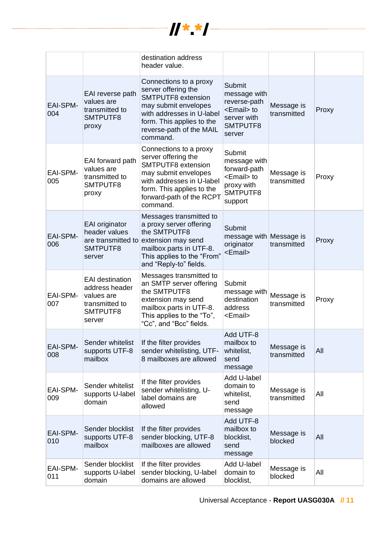

|                        |                                                                                                | destination address<br>header value.                                                                                                                                                                 |                                                                                                             |                           |       |
|------------------------|------------------------------------------------------------------------------------------------|------------------------------------------------------------------------------------------------------------------------------------------------------------------------------------------------------|-------------------------------------------------------------------------------------------------------------|---------------------------|-------|
| <b>EAI-SPM-</b><br>004 | EAI reverse path<br>values are<br>transmitted to<br>SMTPUTF8<br>proxy                          | Connections to a proxy<br>server offering the<br><b>SMTPUTF8</b> extension<br>may submit envelopes<br>with addresses in U-label<br>form. This applies to the<br>reverse-path of the MAIL<br>command. | <b>Submit</b><br>message with<br>reverse-path<br><email> to<br/>server with<br/>SMTPUTF8<br/>server</email> | Message is<br>transmitted | Proxy |
| EAI-SPM-<br>005        | EAI forward path<br>values are<br>transmitted to<br>SMTPUTF8<br>proxy                          | Connections to a proxy<br>server offering the<br>SMTPUTF8 extension<br>may submit envelopes<br>with addresses in U-label<br>form. This applies to the<br>forward-path of the RCPT<br>command.        | Submit<br>message with<br>forward-path<br><email> to<br/>proxy with<br/>SMTPUTF8<br/>support</email>        | Message is<br>transmitted | Proxy |
| <b>EAI-SPM-</b><br>006 | EAI originator<br>header values<br>SMTPUTF8<br>server                                          | Messages transmitted to<br>a proxy server offering<br>the SMTPUTF8<br>are transmitted to extension may send<br>mailbox parts in UTF-8.<br>This applies to the "From"<br>and "Reply-to" fields.       | Submit<br>message with Message is<br>originator<br><email></email>                                          | transmitted               | Proxy |
| EAI-SPM-<br>007        | <b>EAI</b> destination<br>address header<br>values are<br>transmitted to<br>SMTPUTF8<br>server | Messages transmitted to<br>an SMTP server offering<br>the SMTPUTF8<br>extension may send<br>mailbox parts in UTF-8.<br>This applies to the "To",<br>"Cc", and "Bcc" fields.                          | Submit<br>message with<br>destination<br>address<br><email></email>                                         | Message is<br>transmitted | Proxy |
| <b>EAI-SPM-</b><br>008 | Sender whitelist<br>supports UTF-8<br>mailbox                                                  | If the filter provides<br>sender whitelisting, UTF-<br>8 mailboxes are allowed                                                                                                                       | Add UTF-8<br>mailbox to<br>whitelist,<br>send<br>message                                                    | Message is<br>transmitted | All   |
| EAI-SPM-<br>009        | Sender whitelist<br>supports U-label<br>domain                                                 | If the filter provides<br>sender whitelisting, U-<br>label domains are<br>allowed                                                                                                                    | Add U-label<br>domain to<br>whitelist,<br>send<br>message                                                   | Message is<br>transmitted | All   |
| <b>EAI-SPM-</b><br>010 | Sender blocklist<br>supports UTF-8<br>mailbox                                                  | If the filter provides<br>sender blocking, UTF-8<br>mailboxes are allowed                                                                                                                            | Add UTF-8<br>mailbox to<br>blocklist,<br>send<br>message                                                    | Message is<br>blocked     | All   |
| <b>EAI-SPM-</b><br>011 | Sender blocklist<br>supports U-label<br>domain                                                 | If the filter provides<br>sender blocking, U-label<br>domains are allowed                                                                                                                            | Add U-label<br>domain to<br>blocklist,                                                                      | Message is<br>blocked     | All   |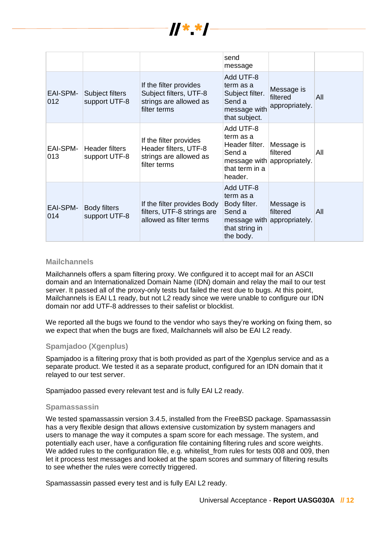

|                        |                                        |                                                                                            | send<br>message                                                                                 |                                                       |     |
|------------------------|----------------------------------------|--------------------------------------------------------------------------------------------|-------------------------------------------------------------------------------------------------|-------------------------------------------------------|-----|
| <b>EAI-SPM-</b><br>012 | Subject filters<br>support UTF-8       | If the filter provides<br>Subject filters, UTF-8<br>strings are allowed as<br>filter terms | Add UTF-8<br>term as a<br>Subject filter.<br>Send a<br>message with<br>that subject.            | Message is<br>filtered<br>appropriately.              | All |
| EAI-SPM-<br>013        | <b>Header filters</b><br>support UTF-8 | If the filter provides<br>Header filters, UTF-8<br>strings are allowed as<br>filter terms  | Add UTF-8<br>term as a<br>Header filter.<br>Send a<br>that term in a<br>header.                 | Message is<br>filtered<br>message with appropriately. | All |
| <b>EAI-SPM-</b><br>014 | <b>Body filters</b><br>support UTF-8   | If the filter provides Body<br>filters, UTF-8 strings are<br>allowed as filter terms       | Add UTF-8<br>term as a<br>Body filter.<br>Send a<br>message with<br>that string in<br>the body. | Message is<br>filtered<br>appropriately.              | All |

#### **Mailchannels**

Mailchannels offers a spam filtering proxy. We configured it to accept mail for an ASCII domain and an Internationalized Domain Name (IDN) domain and relay the mail to our test server. It passed all of the proxy-only tests but failed the rest due to bugs. At this point, Mailchannels is EAI L1 ready, but not L2 ready since we were unable to configure our IDN domain nor add UTF-8 addresses to their safelist or blocklist.

We reported all the bugs we found to the vendor who says they're working on fixing them, so we expect that when the bugs are fixed, Mailchannels will also be EAI L2 ready.

#### **Spamjadoo (Xgenplus)**

Spamjadoo is a filtering proxy that is both provided as part of the Xgenplus service and as a separate product. We tested it as a separate product, configured for an IDN domain that it relayed to our test server.

Spamjadoo passed every relevant test and is fully EAI L2 ready.

#### **Spamassassin**

We tested spamassassin version 3.4.5, installed from the FreeBSD package. Spamassassin has a very flexible design that allows extensive customization by system managers and users to manage the way it computes a spam score for each message. The system, and potentially each user, have a configuration file containing filtering rules and score weights. We added rules to the configuration file, e.g. whitelist from rules for tests 008 and 009, then let it process test messages and looked at the spam scores and summary of filtering results to see whether the rules were correctly triggered.

Spamassassin passed every test and is fully EAI L2 ready.